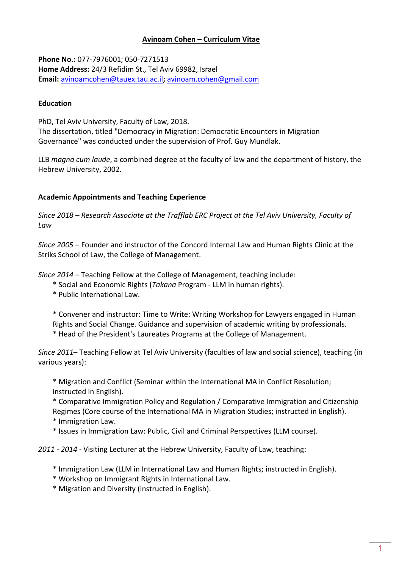# **Avinoam Cohen – Curriculum Vitae**

**Phone No.:** 077-7976001; 050-7271513 **Home Address:** 24/3 Refidim St., Tel Aviv 69982, Israel **Email:** [avinoamcohen@tauex.tau.ac.il](mailto:avinoamcohen@tauex.tau.ac.il)**;** [avinoam.cohen@gmail.com](mailto:avinoam.cohen@gmail.com)

### **Education**

PhD, Tel Aviv University, Faculty of Law, 2018. The dissertation, titled "Democracy in Migration: Democratic Encounters in Migration Governance" was conducted under the supervision of Prof. Guy Mundlak.

LLB *magna cum laude*, a combined degree at the faculty of law and the department of history, the Hebrew University, 2002.

### **Academic Appointments and Teaching Experience**

*Since 2018 – Research Associate at the Trafflab ERC Project at the Tel Aviv University, Faculty of Law*

*Since 2005* – Founder and instructor of the Concord Internal Law and Human Rights Clinic at the Striks School of Law, the College of Management.

*Since 2014* – Teaching Fellow at the College of Management, teaching include:

- \* Social and Economic Rights (*Takana* Program LLM in human rights).
- \* Public International Law.

\* Convener and instructor: Time to Write: Writing Workshop for Lawyers engaged in Human Rights and Social Change. Guidance and supervision of academic writing by professionals.

\* Head of the President's Laureates Programs at the College of Management.

*Since 2011*– Teaching Fellow at Tel Aviv University (faculties of law and social science), teaching (in various years):

\* Migration and Conflict (Seminar within the International MA in Conflict Resolution; instructed in English).

- \* Comparative Immigration Policy and Regulation / Comparative Immigration and Citizenship Regimes (Core course of the International MA in Migration Studies; instructed in English).
- \* Immigration Law.
- \* Issues in Immigration Law: Public, Civil and Criminal Perspectives (LLM course).

*2011 - 2014 -* Visiting Lecturer at the Hebrew University, Faculty of Law, teaching:

- \* Immigration Law (LLM in International Law and Human Rights; instructed in English).
- \* Workshop on Immigrant Rights in International Law.
- \* Migration and Diversity (instructed in English).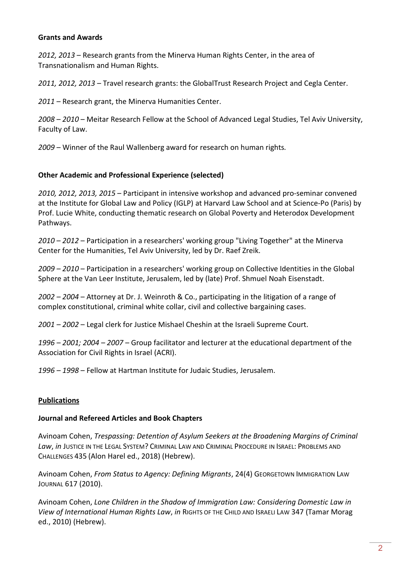### **Grants and Awards**

*2012, 2013* – Research grants from the Minerva Human Rights Center, in the area of Transnationalism and Human Rights.

*2011, 2012, 2013* – Travel research grants: the GlobalTrust Research Project and Cegla Center.

*2011* – Research grant, the Minerva Humanities Center.

*2008* – *2010* – Meitar Research Fellow at the School of Advanced Legal Studies, Tel Aviv University, Faculty of Law.

*2009* – Winner of the Raul Wallenberg award for research on human rights*.*

### **Other Academic and Professional Experience (selected)**

*2010, 2012, 2013, 2015* – Participant in intensive workshop and advanced pro-seminar convened at the Institute for Global Law and Policy (IGLP) at Harvard Law School and at Science-Po (Paris) by Prof. Lucie White, conducting thematic research on Global Poverty and Heterodox Development Pathways.

*2010* – *2012* – Participation in a researchers' working group "Living Together" at the Minerva Center for the Humanities, Tel Aviv University, led by Dr. Raef Zreik.

*2009 – 2010* – Participation in a researchers' working group on Collective Identities in the Global Sphere at the Van Leer Institute, Jerusalem, led by (late) Prof. Shmuel Noah Eisenstadt.

*2002 – 2004* – Attorney at Dr. J. Weinroth & Co., participating in the litigation of a range of complex constitutional, criminal white collar, civil and collective bargaining cases.

*2001 – 2002* – Legal clerk for Justice Mishael Cheshin at the Israeli Supreme Court.

*1996 – 2001; 2004 – 2007* – Group facilitator and lecturer at the educational department of the Association for Civil Rights in Israel (ACRI).

*1996 – 1998* – Fellow at Hartman Institute for Judaic Studies, Jerusalem.

## **Publications**

#### **Journal and Refereed Articles and Book Chapters**

Avinoam Cohen, *Trespassing: Detention of Asylum Seekers at the Broadening Margins of Criminal Law*, *in* JUSTICE IN THE LEGAL SYSTEM? CRIMINAL LAW AND CRIMINAL PROCEDURE IN ISRAEL: PROBLEMS AND CHALLENGES 435 (Alon Harel ed., 2018) (Hebrew).

Avinoam Cohen, *From Status to Agency: Defining Migrants*, 24(4) GEORGETOWN IMMIGRATION LAW JOURNAL 617 (2010).

Avinoam Cohen, *Lone Children in the Shadow of Immigration Law: Considering Domestic Law in View of International Human Rights Law*, *in* RIGHTS OF THE CHILD AND ISRAELI LAW 347 (Tamar Morag ed., 2010) (Hebrew).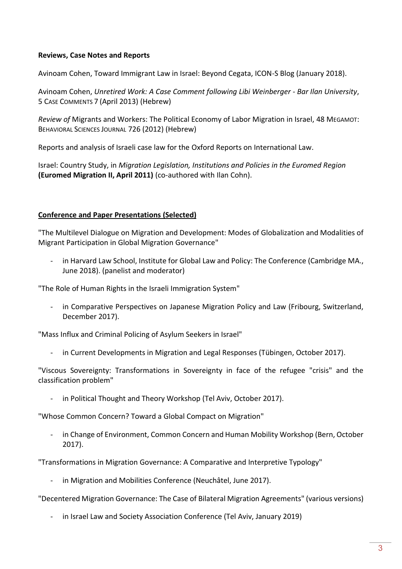## **Reviews, Case Notes and Reports**

Avinoam Cohen, Toward Immigrant Law in Israel: Beyond Cegata, ICON-S Blog (January 2018).

Avinoam Cohen, *Unretired Work: A Case Comment following Libi Weinberger - Bar Ilan University*, 5 CASE COMMENTS 7 (April 2013) (Hebrew)

*Review of* Migrants and Workers: The Political Economy of Labor Migration in Israel, 48 MEGAMOT: BEHAVIORAL SCIENCES JOURNAL 726 (2012) (Hebrew)

Reports and analysis of Israeli case law for the Oxford Reports on International Law.

Israel: Country Study, in *Migration Legislation, Institutions and Policies in the Euromed Region* **(Euromed Migration II, April 2011)** (co-authored with Ilan Cohn).

### **Conference and Paper Presentations (Selected)**

"The Multilevel Dialogue on Migration and Development: Modes of Globalization and Modalities of Migrant Participation in Global Migration Governance"

- in Harvard Law School, Institute for Global Law and Policy: The Conference (Cambridge MA., June 2018). (panelist and moderator)

"The Role of Human Rights in the Israeli Immigration System"

- in Comparative Perspectives on Japanese Migration Policy and Law (Fribourg, Switzerland, December 2017).

"Mass Influx and Criminal Policing of Asylum Seekers in Israel"

- in Current Developments in Migration and Legal Responses (Tübingen, October 2017).

"Viscous Sovereignty: Transformations in Sovereignty in face of the refugee "crisis" and the classification problem"

- in Political Thought and Theory Workshop (Tel Aviv, October 2017).

"Whose Common Concern? Toward a Global Compact on Migration"

- in Change of Environment, Common Concern and Human Mobility Workshop (Bern, October 2017).

"Transformations in Migration Governance: A Comparative and Interpretive Typology"

in Migration and Mobilities Conference (Neuchâtel, June 2017).

"Decentered Migration Governance: The Case of Bilateral Migration Agreements" (various versions)

in Israel Law and Society Association Conference (Tel Aviv, January 2019)